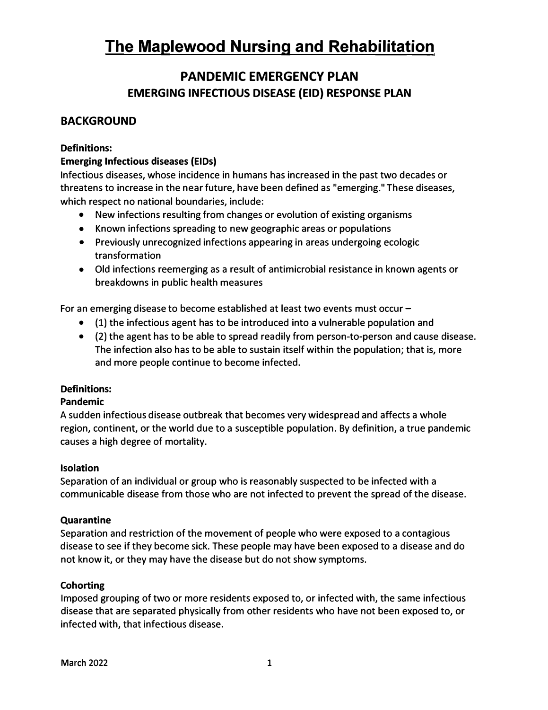### **PANDEMIC EMERGENCY PLAN EMERGING INFECTIOUS DISEASE (EID) RESPONSE PLAN**

### **BACKGROUND**

#### **Definitions:**

#### **Emerging Infectious diseases (EIDs)**

Infectious diseases, whose incidence in humans has increased in the past two decades or threatens to increase in the near future, have been defined as "emerging." These diseases, which respect no national boundaries, include:

- New infections resulting from changes or evolution of existing organisms
- Known infections spreading to new geographic areas or populations
- Previously unrecognized infections appearing in areas undergoing ecologic transformation
- Old infections reemerging as a result of antimicrobial resistance in known agents or breakdowns in public health measures

For an emerging disease to become established at least two events must occur -

- (1) the infectious agent has to be introduced into a vulnerable population and
- (2) the agent has to be able to spread readily from person-to-person and cause disease. The infection also has to be able to sustain itself within the population; that is, more and more people continue to become infected.

#### **Definitions:**

#### **Pandemic**

A sudden infectious disease outbreak that becomes very widespread and affects a whole region, continent, or the world due to a susceptible population. By definition, a true pandemic causes a high degree of mortality.

#### **Isolation**

Separation of an individual or group who is reasonably suspected to be infected with a communicable disease from those who are not infected to prevent the spread of the disease.

#### **Quarantine**

Separation and restriction of the movement of people who were exposed to a contagious disease to see if they become sick. These people may have been exposed to a disease and do not know it, or they may have the disease but do not show symptoms.

#### **Cohorting**

Imposed grouping of two or more residents exposed to, or infected with, the same infectious disease that are separated physically from other residents who have not been exposed to, or infected with, that infectious disease.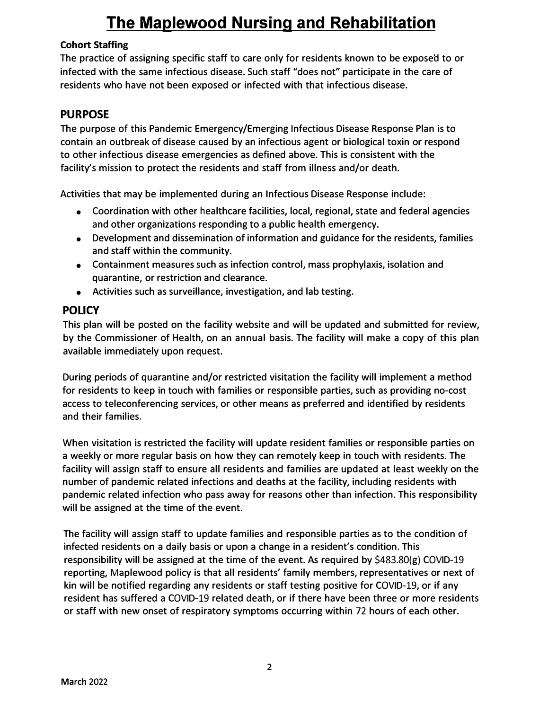#### **Cohort Staffing**

The practice of assigning specific staff to care only for residents known to be exposed to or infected with the same infectious disease. Such staff "does not" participate in the care of residents who have not been exposed or infected with that infectious disease.

### **PURPOSE**

The purpose of this Pandemic Emergency/Emerging Infectious Disease Response Plan is to contain an outbreak of disease caused by an infectious agent or biological toxin or respond to other infectious disease emergencies as defined above. This is consistent with the facility's mission to protect the residents and staff from illness and/or death.

Activities that may be implemented during an Infectious Disease Response include:

- Coordination with other healthcare facilities, local, regional, state and federal agencies and other organizations responding to a public health emergency.
- Development and dissemination of information and guidance for the residents, families and staff within the community.
- Containment measures such as infection control, mass prophylaxis, isolation and quarantine, or restriction and clearance.
- Activities such as surveillance, investigation, and lab testing.

### **POLICY**

This plan will be posted on the facility website and will be updated and submitted for review, by the Commissioner of Health, on an annual basis. The facility will make a copy of this plan available immediately upon request.

During periods of quarantine and/or restricted visitation the facility will implement a method for residents to keep in touch with families or responsible parties, such as providing no-cost access to teleconferencing services, or other means as preferred and identified by residents and their families.

When visitation is restricted the facility will update resident families or responsible parties on a weekly or more regular basis on how they can remotely keep in touch with residents. The facility will assign staff to ensure all residents and families are updated at least weekly on the number of pandemic related infections and deaths at the facility, including residents with pandemic related infection who pass away for reasons other than infection. This responsibility will be assigned at the time of the event.

The facility will assign staff to update families and responsible parties as to the condition of infected residents on a daily basis or upon a change in a resident's condition. This responsibility will be assigned at the time of the event. As required by \$483.80(g) COVID-19 reporting, Maplewood policy is that all residents' family members, representatives or next of kin will be notified regarding any residents or staff testing positive for COVID-19, or if any resident has suffered a COVID-19 related death, or if there have been three or more residents or staff with new onset of respiratory symptoms occurring within 72 hours of each other.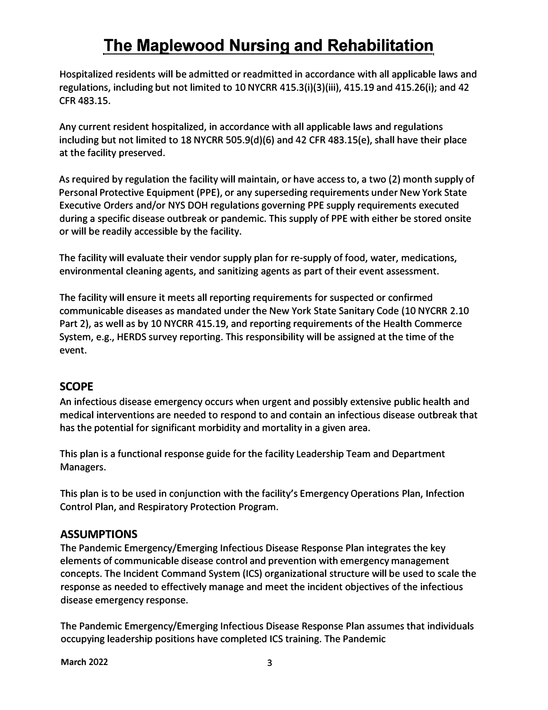Hospitalized residents will be admitted or readmitted in accordance with all applicable laws and regulations, including but not limited to 10 NYCRR 415.3(i)(3)(iii), 415.19 and 415.26(i); and 42 CFR 483.15.

Any current resident hospitalized, in accordance with all applicable laws and regulations including but not limited to 18 NYCRR 505.9(d)(6) and 42 CFR 483.15(e), shall have their place at the facility preserved.

As required by regulation the facility will maintain, or have access to, a two (2) month supply of Personal Protective Equipment (PPE), or any superseding requirements under New York State Executive Orders and/or NYS DOH regulations governing PPE supply requirements executed during a specific disease outbreak or pandemic. This supply of PPE with either be stored onsite or will be readily accessible by the facility.

The facility will evaluate their vendor supply plan for re-supply of food, water, medications, environmental cleaning agents, and sanitizing agents as part of their event assessment.

The facility will ensure it meets all reporting requirements for suspected or confirmed communicable diseases as mandated under the New York State Sanitary Code (10 NYCRR 2.10 Part 2), as well as by 10 NYCRR 415.19, and reporting requirements of the Health Commerce System, e.g., HERDS survey reporting. This responsibility will be assigned at the time of the event.

### **SCOPE**

An infectious disease emergency occurs when urgent and possibly extensive public health and medical interventions are needed to respond to and contain an infectious disease outbreak that has the potential for significant morbidity and mortality in a given area.

This plan is a functional response guide for the facility Leadership Team and Department Managers.

This plan is to be used in conjunction with the facility's Emergency Operations Plan, Infection Control Plan, and Respiratory Protection Program.

### **ASSUMPTIONS**

The Pandemic Emergency/Emerging Infectious Disease Response Plan integrates the key elements of communicable disease control and prevention with emergency management concepts. The Incident Command System (ICS) organizational structure will be used to scale the response as needed to effectively manage and meet the incident objectives of the infectious disease emergency response.

The Pandemic Emergency/Emerging Infectious Disease Response Plan assumes that individuals occupying leadership positions have completed ICS training. The Pandemic

**March 2022 3**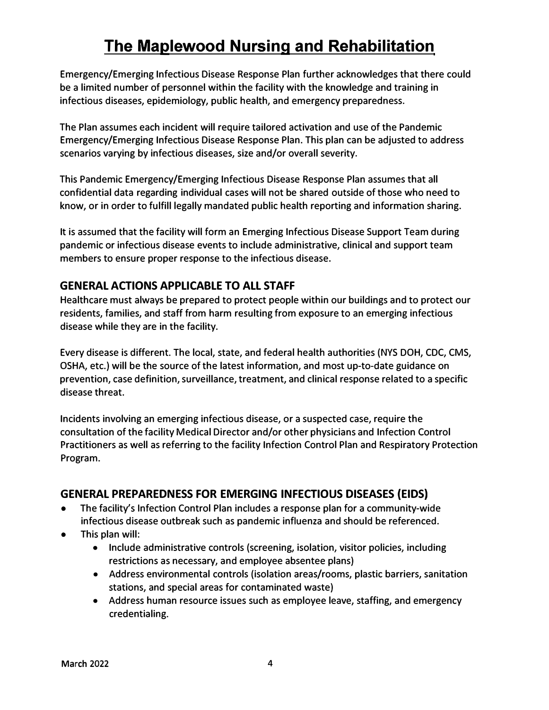**Emergency/Emerging Infectious Disease Response Plan further acknowledges that there could be a limited number of personnel within the facility with the knowledge and training in infectious diseases, epidemiology, public health, and emergency preparedness.** 

**The Plan assumes each incident will require tailored activation and use of the Pandemic Emergency/Emerging Infectious Disease Response Plan. This plan can be adjusted to address scenarios varying by infectious diseases, size and/or overall severity.** 

**This Pandemic Emergency/Emerging Infectious Disease Response Plan assumes that all confidential data regarding individual cases will not be shared outside of those who need to know, or in order to fulfill legally mandated public health reporting and information sharing.** 

**It is assumed that the facility will form an Emerging Infectious Disease Support Team during pandemic or infectious disease events to include administrative, clinical and support team members to ensure proper response to the infectious disease.** 

### **GENERAL ACTIONS APPLICABLE TO ALL STAFF**

**Healthcare must always be prepared to protect people within our buildings and to protect our residents, families, and staff from harm resulting from exposure to an emerging infectious disease while they are in the facility.** 

**Every disease is different. The local, state, and federal health authorities (NYS DOH, CDC, CMS, OSHA, etc.) will be the source of the latest information, and most up-to-date guidance on prevention, case definition, surveillance, treatment, and clinical response related to a specific disease threat.** 

**Incidents involving an emerging infectious disease, or a suspected case, require the consultation of the facility Medical Director and/or other physicians and Infection Control Practitioners as well as referring to the facility Infection Control Plan and Respiratory Protection Program.** 

### **GENERAL PREPAREDNESS FOR EMERGING INFECTIOUS DISEASES (EIDS)**

- **• The facility's Infection Control Plan includes a response plan for a community-wide infectious disease outbreak such as pandemic influenza and should be referenced.**
- **• This plan will:**
	- **• Include administrative controls (screening, isolation, visitor policies, including restrictions as necessary, and employee absentee plans)**
	- **• Address environmental controls (isolation areas/rooms, plastic barriers, sanitation stations, and special areas for contaminated waste)**
	- **• Address human resource issues such as employee leave, staffing, and emergency credentialing.**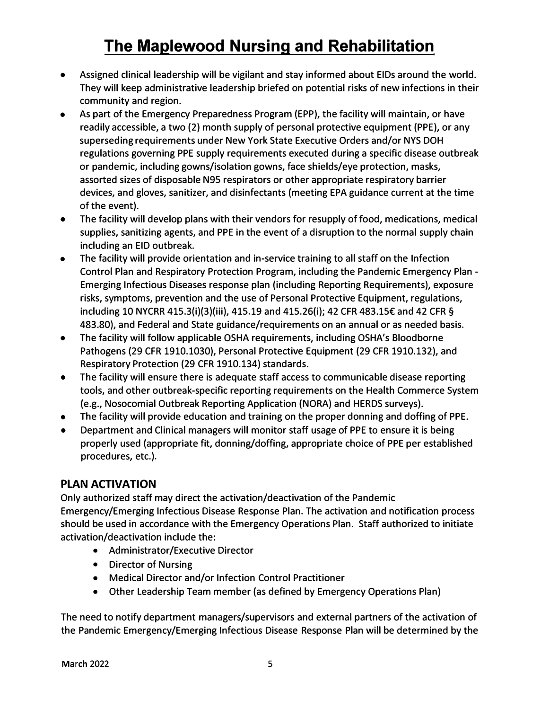- Assigned clinical leadership will be vigilant and stay informed about EIDs around the world. They will keep administrative leadership briefed on potential risks of new infections in their community and region.
- As part of the Emergency Preparedness Program (EPP), the facility will maintain, or have readily accessible, a two (2) month supply of personal protective equipment (PPE), or any superseding requirements under New York State Executive Orders and/or NYS DOH regulations governing PPE supply requirements executed during a specific disease outbreak or pandemic, including gowns/isolation gowns, face shields/eye protection, masks, assorted sizes of disposable N95 respirators or other appropriate respiratory barrier devices, and gloves, sanitizer, and disinfectants (meeting EPA guidance current at the time of the event).
- The facility will develop plans with their vendors for resupply of food, medications, medical supplies, sanitizing agents, and PPE in the event of a disruption to the normal supply chain including an EID outbreak.
- The facility will provide orientation and in-service training to all staff on the Infection Control Plan and Respiratory Protection Program, including the Pandemic Emergency Plan - Emerging Infectious Diseases response plan (including Reporting Requirements), exposure risks, symptoms, prevention and the use of Personal Protective Equipment, regulations, including 10 NYCRR 415.3(i)(3)(iii), 415.19 and 415.26(i); 42 CFR 483.15€ and 42 CFR **§** 483.80), and Federal and State guidance/requirements on an annual or as needed basis.
- The facility will follow applicable OSHA requirements, including OSHA's Bloodborne Pathogens (29 CFR 1910.1030), Personal Protective Equipment (29 CFR 1910.132), and Respiratory Protection (29 CFR 1910.134) standards.
- The facility will ensure there is adequate staff access to communicable disease reporting tools, and other outbreak-specific reporting requirements on the Health Commerce System (e.g., Nosocomial Outbreak Reporting Application (NORA) and HERDS surveys).
- The facility will provide education and training on the proper donning and doffing of PPE.
- Department and Clinical managers will monitor staff usage of PPE to ensure it is being properly used (appropriate fit, donning/doffing, appropriate choice of PPE per established procedures, etc.).

### **PLAN ACTIVATION**

Only authorized staff may direct the activation/deactivation of the Pandemic Emergency/Emerging Infectious Disease Response Plan. The activation and notification process should be used in accordance with the Emergency Operations Plan. Staff authorized to initiate activation/deactivation include the:

- Administrator/Executive Director
- Director of Nursing
- Medical Director and/or Infection Control Practitioner
- Other Leadership Team member (as defined by Emergency Operations Plan)

The need to notify department managers/supervisors and external partners of the activation of the Pandemic Emergency/Emerging Infectious Disease Response Plan will be determined by the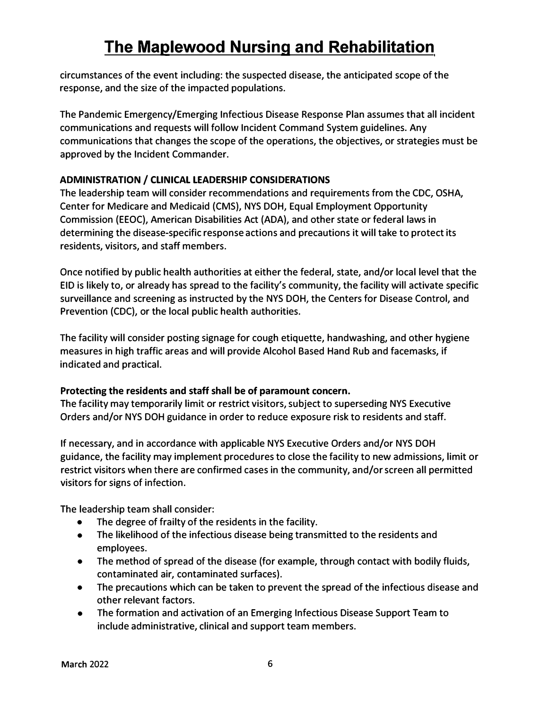circumstances of the event including: the suspected disease, the anticipated scope of the response, and the size of the impacted populations.

The Pandemic Emergency/Emerging Infectious Disease Response Plan assumes that all incident communications and requests will follow Incident Command System guidelines. Any communications that changes the scope of the operations, the objectives, or strategies must be approved by the Incident Commander.

### **ADMINISTRATION/ CLINICAL LEADERSHIP CONSIDERATIONS**

The leadership team will consider recommendations and requirements from the CDC, OSHA, Center for Medicare and Medicaid (CMS), NYS DOH, Equal Employment Opportunity Commission (EEOC), American Disabilities Act (ADA), and other state or federal laws in determining the disease-specific response actions and precautions it will take to protect its residents, visitors, and staff members.

Once notified by public health authorities at either the federal, state, and/or local level that the EID is likely to, or already has spread to the facility's community, the facility will activate specific surveillance and screening as instructed by the NYS DOH, the Centers for Disease Control, and Prevention (CDC), or the local public health authorities.

The facility will consider posting signage for cough etiquette, handwashing, and other hygiene measures in high traffic areas and will provide Alcohol Based Hand Rub and facemasks, if indicated and practical.

### **Protecting the residents and staff shall be of paramount concern.**

The facility may temporarily limit or restrict visitors, subject to superseding NYS Executive Orders and/or NYS DOH guidance in order to reduce exposure risk to residents and staff.

If necessary, and in accordance with applicable NYS Executive Orders and/or NYS DOH guidance, the facility may implement procedures to close the facility to new admissions, limit or restrict visitors when there are confirmed cases in the community, and/or screen all permitted visitors for signs of infection.

The leadership team shall consider:

- The degree of frailty of the residents in the facility.
- The likelihood of the infectious disease being transmitted to the residents and employees.
- The method of spread of the disease (for example, through contact with bodily fluids, contaminated air, contaminated surfaces).
- The precautions which can be taken to prevent the spread of the infectious disease and other relevant factors.
- The formation and activation of an Emerging Infectious Disease Support Team to include administrative, clinical and support team members.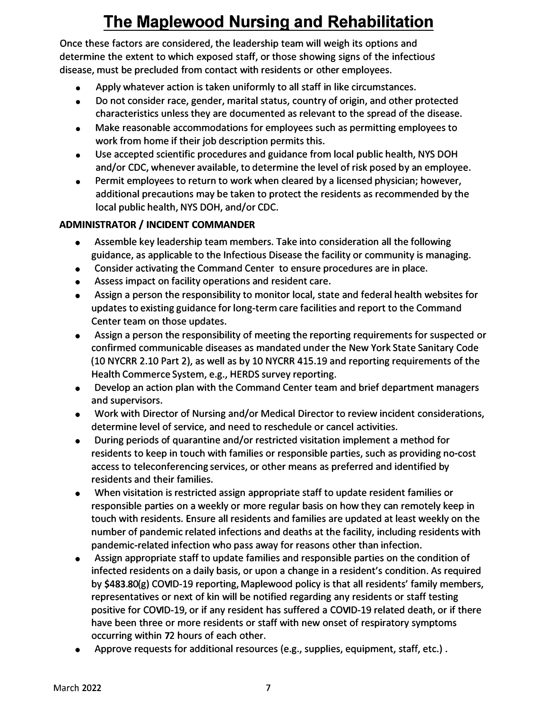**Once these factors are considered, the leadership team will weigh its options and determine the extent to which exposed staff, or those showing signs of the infectious disease, must be precluded from contact with residents or other employees.** 

- **• Apply whatever action is taken uniformly to all staff in like circumstances.**
- **• Do not consider race, gender, marital status, country of origin, and other protected characteristics unless they are documented as relevant to the spread of the disease.**
- **• Make reasonable accommodations for employees such as permitting employees to work from home if their job description permits this.**
- **• Use accepted scientific procedures and guidance from local public health, NYS DOH and/or CDC, whenever available, to determine the level of risk posed by an employee.**
- **• Permit employees to return to work when cleared by a licensed physician; however, additional precautions may be taken to protect the residents as recommended by the local public health, NYS DOH, and/or CDC.**

### **ADMINISTRATOR/ INCIDENT COMMANDER**

- **• Assemble key leadership team members. Take into consideration all the following guidance, as applicable to the Infectious Disease the facility or community is managing.**
- **• Consider activating the Command Center to ensure procedures are in place.**
- **• Assess impact on facility operations and resident care.**
- **• Assign a person the responsibility to monitor local, state and federal health websites for updates to existing guidance for long-term care facilities and report to the Command Center team on those updates.**
- **• Assign a person the responsibility of meeting the reporting requirements for suspected or confirmed communicable diseases as mandated under the New York State Sanitary Code (10 NYCRR 2.10 Part 2), as well as by 10 NYCRR 415.19 and reporting requirements of the Health Commerce System, e.g., HERDS survey reporting.**
- **• Develop an action plan with the Command Center team and brief department managers and supervisors.**
- **• Work with Director of Nursing and/or Medical Director to review incident considerations, determine level of service, and need to reschedule or cancel activities.**
- **• During periods of quarantine and/or restricted visitation implement a method for residents to keep in touch with families or responsible parties, such as providing no-cost access to teleconferencing services, or other means as preferred and identified by residents and their families.**
- **• When visitation is restricted assign appropriate staff to update resident families or responsible parties on a weekly or more regular basis on how they can remotely keep in touch with residents. Ensure all residents and families are updated at least weekly on the number of pandemic related infections and deaths at the facility, including residents with pandemic-related infection who pass away for reasons other than infection.**
- **• Assign appropriate staff to update families and responsible parties on the condition of infected residents on a daily basis, or upon a change in a resident's condition. As required by \$483.80(g) COVID-19 reporting, Maplewood policy is that all residents' family members, representatives or next of kin will be notified regarding any residents or staff testing positive for COVID-19, or if any resident has suffered a COVID-19 related death, or if there have been three or more residents or staff with new onset of respiratory symptoms occurring within 72 hours of each other.**
- **• Approve requests for additional resources (e.g., supplies, equipment, staff, etc.) .**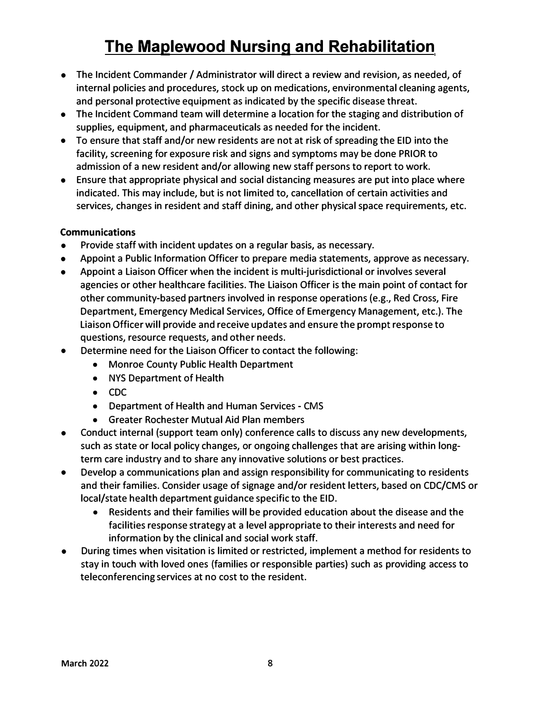- The Incident Commander / Administrator will direct a review and revision, as needed, of internal policies and procedures, stock up on medications, environmental cleaning agents, and personal protective equipment as indicated by the specific disease threat.
- The Incident Command team will determine a location for the staging and distribution of supplies, equipment, and pharmaceuticals as needed for the incident.
- To ensure that staff and/or new residents are not at risk of spreading the EID into the facility, screening for exposure risk and signs and symptoms may be done PRIOR to admission of a new resident and/or allowing new staff persons to report to work.
- Ensure that appropriate physical and social distancing measures are put into place where indicated. This may include, but is not limited to, cancellation of certain activities and services, changes in resident and staff dining, and other physical space requirements, etc.

#### **Communications**

- Provide staff with incident updates on a regular basis, as necessary.
- Appoint a Public Information Officer to prepare media statements, approve as necessary.
- Appoint a Liaison Officer when the incident is multi-jurisdictional or involves several agencies or other healthcare facilities. The Liaison Officer is the main point of contact for other community-based partners involved in response operations (e.g., Red Cross, Fire Department, Emergency Medical Services, Office of Emergency Management, etc.). The Liaison Officer will provide and receive updates and ensure the prompt response to questions, resource requests, and other needs.
- Determine need for the Liaison Officer to contact the following:
	- Monroe County Public Health Department
	- NYS Department of Health
	- CDC
	- Department of Health and Human Services CMS
	- Greater Rochester Mutual Aid Plan members
- Conduct internal (support team only) conference calls to discuss any new developments, such as state or local policy changes, or ongoing challenges that are arising within longterm care industry and to share any innovative solutions or best practices.
- Develop a communications plan and assign responsibility for communicating to residents and their families. Consider usage of signage and/or resident letters, based on CDC/CMS or local/state health department guidance specific to the EID.
	- Residents and their families will be provided education about the disease and the facilities response strategy at a level appropriate to their interests and need for information by the clinical and social work staff.
- During times when visitation is limited or restricted, implement a method for residents to stay in touch with loved ones (families or responsible parties) such as providing access to teleconferencing services at no cost to the resident.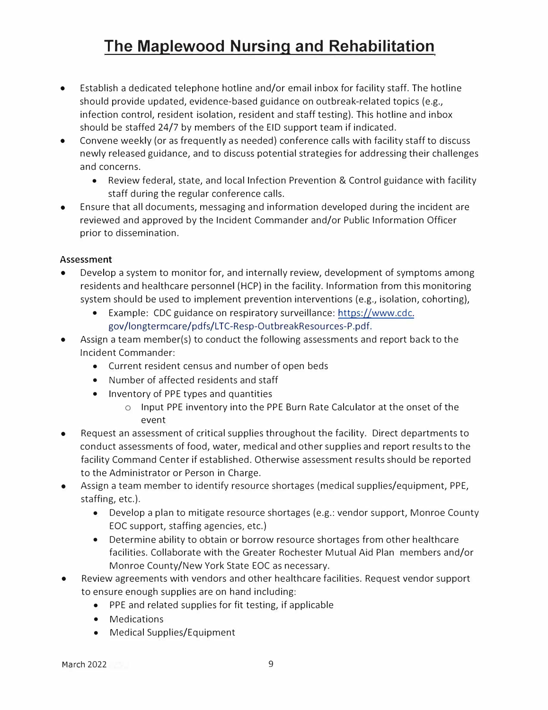- Establish a dedicated telephone hotline and/or email inbox for facility staff. The hotline should provide updated, evidence-based guidance on outbreak-related topics (e.g., infection control, resident isolation, resident and staff testing). This hotline and in box should be staffed 24/7 by members of the EID support team if indicated.
- Convene weekly (or as frequently as needed) conference calls with facility staff to discuss newly released guidance, and to discuss potential strategies for addressing their challenges and concerns.
	- Review federal, state, and local Infection Prevention & Control guidance with facility staff during the regular conference calls.
- Ensure that all documents, messaging and information developed during the incident are reviewed and approved by the Incident Commander and/or Public Information Officer prior to dissemination.

#### **Assessment**

- Develop a system to monitor for, and internally review, development of symptoms among residents and healthcare personnel (HCP} in the facility. Information from this monitoring system should be used to implement prevention interventions (e.g., isolation, cohorting},
	- Example: CDC guidance on respiratory surveillance: [https://www.cdc.](https://www.cdc.gov/longtermcare/pdfs/LTC-Resp-OutbreakResources-P.pdf) gov/longtermcare/pdfs/LTC-Resp-OutbreakResources-P.pdf.
- Assign a team member(s) to conduct the following assessments and report back to the Incident Commander:
	- Current resident census and number of open beds
	- Number of affected residents and staff
	- Inventory of PPE types and quantities
		- o Input PPE inventory into the PPE Burn Rate Calculator at the onset of the event
- Request an assessment of critical supplies throughout the facility. Direct departments to conduct assessments of food, water, medical and other supplies and report results to the facility Command Center if established. Otherwise assessment results should be reported to the Administrator or Person in Charge.
- Assign a team member to identify resource shortages (medical supplies/equipment, PPE, staffing, etc.).
	- Develop a plan to mitigate resource shortages (e.g.: vendor support, Monroe County EOC support, staffing agencies, etc.)
	- Determine ability to obtain or borrow resource shortages from other healthcare facilities. Collaborate with the Greater Rochester Mutual Aid Plan members and/or Monroe County/New York State EOC as necessary.
- Review agreements with vendors and other healthcare facilities. Request vendor support to ensure enough supplies are on hand including:
	- PPE and related supplies for fit testing, if applicable
	- Medications
	- Medical Supplies/Equipment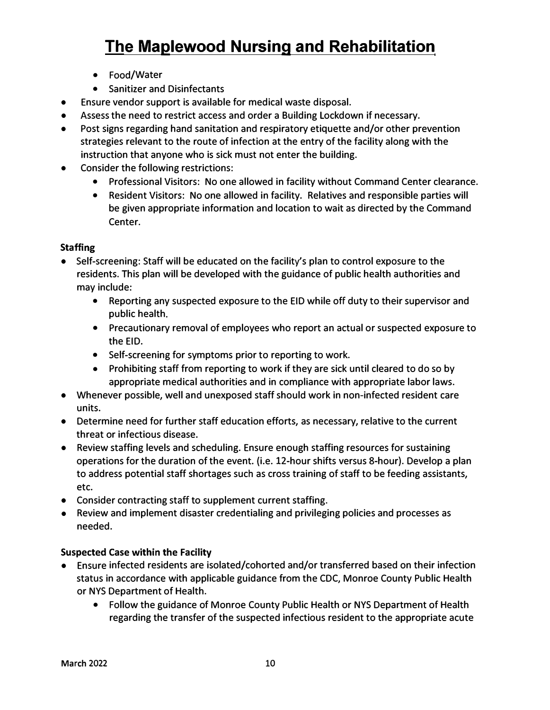- Food/Water
- Sanitizer and Disinfectants
- Ensure vendor support is available for medical waste disposal.
- Assess the need to restrict access and order a Building Lockdown if necessary.
- Post signs regarding hand sanitation and respiratory etiquette and/or other prevention strategies relevant to the route of infection at the entry of the facility along with the instruction that anyone who is sick must not enter the building.
- Consider the following restrictions:
	- Professional Visitors: No one allowed in facility without Command Center clearance.
	- Resident Visitors: No one allowed in facility. Relatives and responsible parties will be given appropriate information and location to wait as directed by the Command Center.

#### **Staffing**

- Self-screening: Staff will be educated on the facility's plan to control exposure to the residents. This plan will be developed with the guidance of public health authorities and may include:
	- Reporting any suspected exposure to the EID while off duty to their supervisor and public health.
	- Precautionary removal of employees who report an actual or suspected exposure to the EID.
	- Self-screening for symptoms prior to reporting to work.
	- Prohibiting staff from reporting to work if they are sick until cleared to do so by appropriate medical authorities and in compliance with appropriate labor laws.
- Whenever possible, well and unexposed staff should work in non-infected resident care units.
- Determine need for further staff education efforts, as necessary, relative to the current threat or infectious disease.
- Review staffing levels and scheduling. Ensure enough staffing resources for sustaining operations for the duration of the event. (i.e. 12-hour shifts versus 8-hour). Develop a plan to address potential staff shortages such as cross training of staff to be feeding assistants, etc.
- Consider contracting staff to supplement current staffing.
- Review and implement disaster credentialing and privileging policies and processes as needed.

#### **Suspected Case within the Facility**

- Ensure infected residents are isolated/cohorted and/or transferred based on their infection status in accordance with applicable guidance from the CDC, Monroe County Public Health or NYS Department of Health.
	- Follow the guidance of Monroe County Public Health or NYS Department of Health regarding the transfer of the suspected infectious resident to the appropriate acute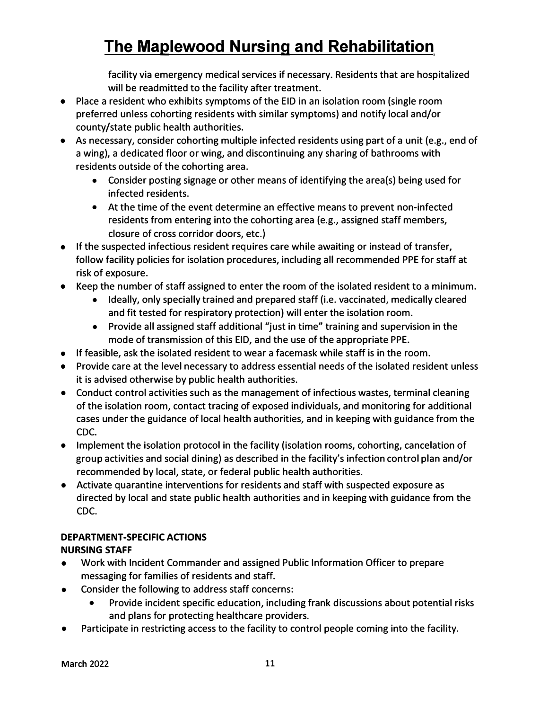facility via emergency medical services if necessary. Residents that are hospitalized will be readmitted to the facility after treatment.

- Place a resident who exhibits symptoms of the EID in an isolation room (single room preferred unless cohorting residents with similar symptoms) and notify local and/or county/state public health authorities.
- As necessary, consider cohorting multiple infected residents using part of a unit (e.g., end of a wing), a dedicated floor or wing, and discontinuing any sharing of bathrooms with residents outside of the cohorting area.
	- Consider posting signage or other means of identifying the area(s) being used for infected residents.
	- At the time of the event determine an effective means to prevent non-infected residents from entering into the cohorting area (e.g., assigned staff members, closure of cross corridor doors, etc.)
- If the suspected infectious resident requires care while awaiting or instead of transfer, follow facility policies for isolation procedures, including all recommended PPE for staff at risk of exposure.
- Keep the number of staff assigned to enter the room of the isolated resident to a minimum.
	- Ideally, only specially trained and prepared staff (i.e. vaccinated, medically cleared and fit tested for respiratory protection) will enter the isolation room.
	- Provide all assigned staff additional "just in time" training and supervision in the mode of transmission of this EID, and the use of the appropriate PPE.
- If feasible, ask the isolated resident to wear a facemask while staff is in the room.
- Provide care at the level necessary to address essential needs of the isolated resident unless it is advised otherwise by public health authorities.
- Conduct control activities such as the management of infectious wastes, terminal cleaning of the isolation room, contact tracing of exposed individuals, and monitoring for additional cases under the guidance of local health authorities, and in keeping with guidance from the **CDC.**
- Implement the isolation protocol in the facility (isolation rooms, cohorting, cancelation of group activities and social dining) as described in the facility's infection control plan and/or recommended by local, state, or federal public health authorities.
- Activate quarantine interventions for residents and staff with suspected exposure as directed by local and state public health authorities and in keeping with guidance from the CDC.

#### **DEPARTMENT-SPECIFIC ACTIONS**

#### **NURSING STAFF**

- Work with Incident Commander and assigned Public Information Officer to prepare messaging for families of residents and staff.
- Consider the following to address staff concerns:
	- Provide incident specific education, including frank discussions about potential risks and plans for protecting healthcare providers.
- Participate in restricting access to the facility to control people coming into the facility.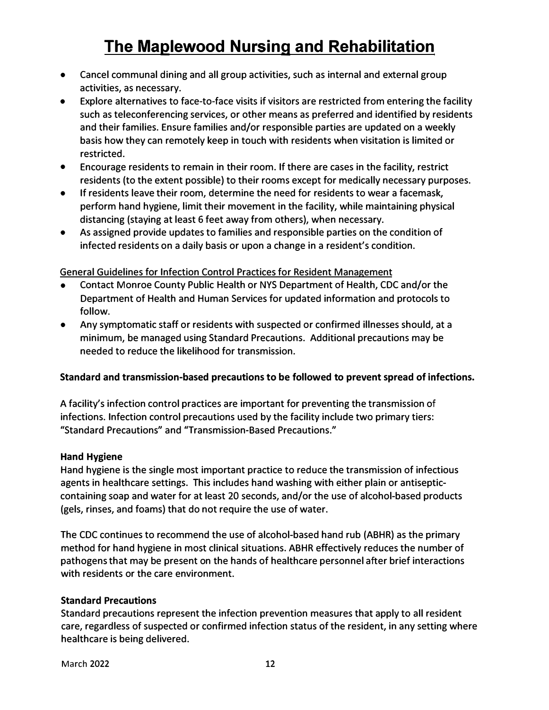- Cancel communal dining and all group activities, such as internal and external group activities, as necessary.
- Explore alternatives to face-to-face visits if visitors are restricted from entering the facility such as teleconferencing services, or other means as preferred and identified by residents and their families. Ensure families and/or responsible parties are updated on a weekly basis how they can remotely keep in touch with residents when visitation is limited or restricted.
- Encourage residents to remain in their room. If there are cases in the facility, restrict residents (to the extent possible) to their rooms except for medically necessary purposes.
- If residents leave their room, determine the need for residents to wear a facemask, perform hand hygiene, limit their movement in the facility, while maintaining physical distancing (staying at least 6 feet away from others), when necessary.
- As assigned provide updates to families and responsible parties on the condition of infected residents on a daily basis or upon a change in a resident's condition.

#### General Guidelines for Infection Control Practices for Resident Management

- Contact Monroe County Public Health or NYS Department of Health, CDC and/or the Department of Health and Human Services for updated information and protocols to follow.
- Any symptomatic staff or residents with suspected or confirmed illnesses should, at a minimum, be managed using Standard Precautions. Additional precautions may be needed to reduce the likelihood for transmission.

#### **Standard and transmission-based precautions to be followed to prevent spread of infections.**

A facility's infection control practices are important for preventing the transmission of infections. Infection control precautions used by the facility include two primary tiers: "Standard Precautions" and "Transmission-Based Precautions."

#### **Hand Hygiene**

Hand hygiene is the single most important practice to reduce the transmission of infectious agents in healthcare settings. This includes hand washing with either plain or antisepticcontaining soap and water for at least 20 seconds, and/or the use of alcohol-based products (gels, rinses, and foams) that do not require the use of water.

The CDC continues to recommend the use of alcohol-based hand rub (ABHR) as the primary method for hand hygiene in most clinical situations. ABHR effectively reduces the number of pathogens that may be present on the hands of healthcare personnel after brief interactions with residents or the care environment.

#### **Standard Precautions**

Standard precautions represent the infection prevention measures that apply to all resident care, regardless of suspected or confirmed infection status of the resident, in any setting where healthcare is being delivered.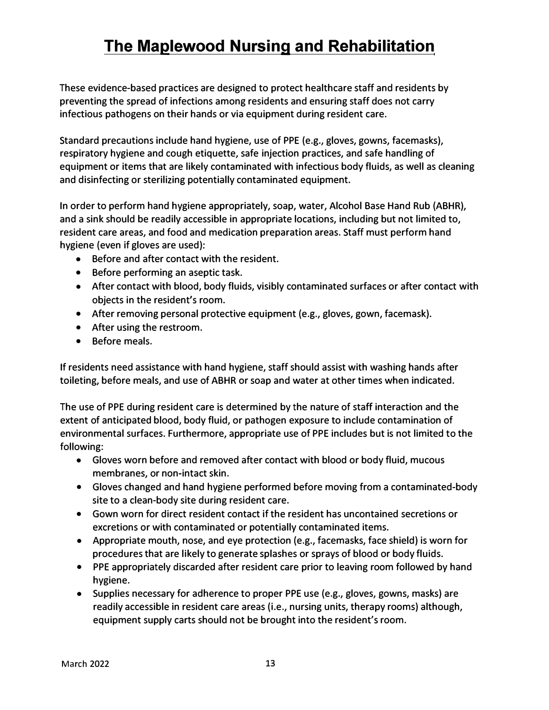These evidence-based practices are designed to protect healthcare staff and residents by preventing the spread of infections among residents and ensuring staff does not carry infectious pathogens on their hands or via equipment during resident care.

Standard precautions include hand hygiene, use of PPE (e.g., gloves, gowns, facemasks), respiratory hygiene and cough etiquette, safe injection practices, and safe handling of equipment or items that are likely contaminated with infectious body fluids, as well as cleaning and disinfecting or sterilizing potentially contaminated equipment.

In order to perform hand hygiene appropriately, soap, water, Alcohol Base Hand Rub (ABHR), and a sink should be readily accessible in appropriate locations, including but not limited to, resident care areas, and food and medication preparation areas. Staff must perform hand hygiene (even if gloves are used):

- Before and after contact with the resident.
- Before performing an aseptic task.
- After contact with blood, body fluids, visibly contaminated surfaces or after contact with objects in the resident's room.
- After removing personal protective equipment (e.g., gloves, gown, facemask).
- After using the restroom.
- Before meals.

If residents need assistance with hand hygiene, staff should assist with washing hands after toileting, before meals, and use of ABHR or soap and water at other times when indicated.

The use of PPE during resident care is determined by the nature of staff interaction and the extent of anticipated blood, body fluid, or pathogen exposure to include contamination of environmental surfaces. Furthermore, appropriate use of PPE includes but is not limited to the following:

- Gloves worn before and removed after contact with blood or body fluid, mucous membranes, or non-intact skin.
- Gloves changed and hand hygiene performed before moving from a contaminated-body site to a clean-body site during resident care.
- Gown worn for direct resident contact if the resident has uncontained secretions or excretions or with contaminated or potentially contaminated items.
- Appropriate mouth, nose, and eye protection (e.g., facemasks, face shield) is worn for procedures that are likely to generate splashes or sprays of blood or body fluids.
- PPE appropriately discarded after resident care prior to leaving room followed by hand hygiene.
- Supplies necessary for adherence to proper PPE use (e.g., gloves, gowns, masks) are readily accessible in resident care areas (i.e., nursing units, therapy rooms) although, equipment supply carts should not be brought into the resident's room.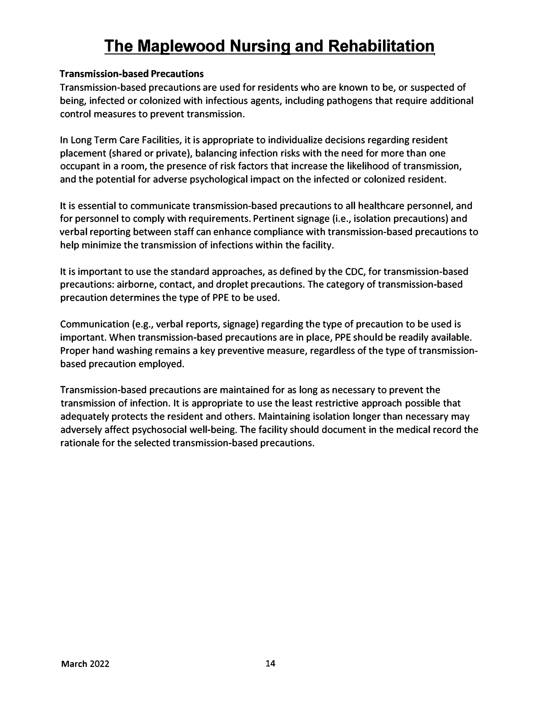#### **Transmission-based Precautions**

Transmission-based precautions are used for residents who are known to be, or suspected of being, infected or colonized with infectious agents, including pathogens that require additional control measures to prevent transmission.

In Long Term Care Facilities, it is appropriate to individualize decisions regarding resident placement (shared or private), balancing infection risks with the need for more than one occupant in a room, the presence of risk factors that increase the likelihood of transmission, and the potential for adverse psychological impact on the infected or colonized resident.

It is essential to communicate transmission-based precautions to all healthcare personnel, and for personnel to comply with requirements. Pertinent signage (i.e., isolation precautions) and verbal reporting between staff can enhance compliance with transmission-based precautions to help minimize the transmission of infections within the facility.

It is important to use the standard approaches, as defined by the CDC, for transmission-based precautions: airborne, contact, and droplet precautions. The category of transmission-based precaution determines the type of PPE to be used.

Communication (e.g., verbal reports, signage) regarding the type of precaution to be used is important. When transmission-based precautions are in place, PPE should be readily available. Proper hand washing remains a key preventive measure, regardless of the type of transmissionbased precaution employed.

Transmission-based precautions are maintained for as long as necessary to prevent the transmission of infection. It is appropriate to use the least restrictive approach possible that adequately protects the resident and others. Maintaining isolation longer than necessary may adversely affect psychosocial well-being. The facility should document in the medical record the rationale for the selected transmission-based precautions.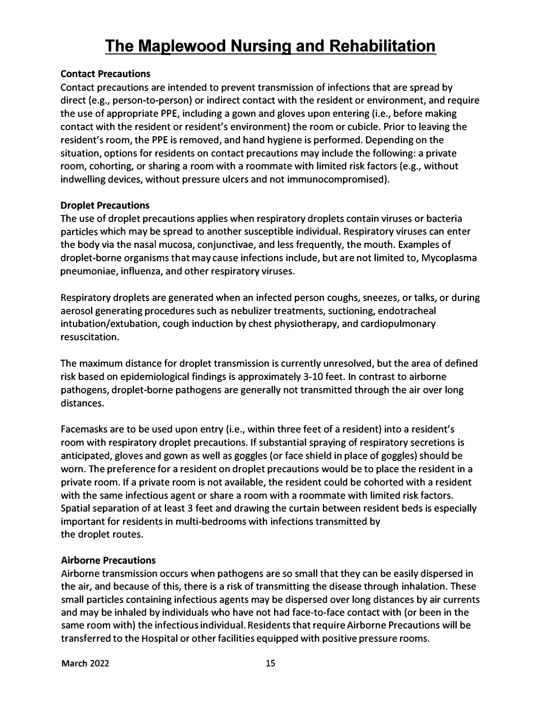#### **Contact Precautions**

**Contact precautions are intended to prevent transmission of infections that are spread by direct (e.g., person-to-person) or indirect contact with the resident or environment, and require the use of appropriate PPE, including a gown and gloves upon entering (i.e., before making contact with the resident or resident's environment) the room or cubicle. Prior to leaving the resident's room, the PPE is removed, and hand hygiene is performed. Depending on the situation, options for residents on contact precautions may include the following: a private room, cohorting, or sharing a room with a roommate with limited risk factors (e.g., without indwelling devices, without pressure ulcers and not immunocompromised).** 

#### **Droplet Precautions**

**The use of droplet precautions applies when respiratory droplets contain viruses or bacteria particles which may be spread to another susceptible individual. Respiratory viruses can enter the body via the nasal mucosa, conjunctivae, and less frequently, the mouth. Examples of droplet-borne organisms that may cause infections include, but are not limited to, Mycoplasma pneumoniae, influenza, and other respiratory viruses.** 

**Respiratory droplets are generated when an infected person coughs, sneezes, or talks, or during aerosol generating procedures such as nebulizer treatments, suctioning, endotracheal intubation/extubation, cough induction by chest physiotherapy, and cardiopulmonary resuscitation.** 

**The maximum distance for droplet transmission is currently unresolved, but the area of defined risk based on epidemiological findings is approximately 3-10 feet. In contrast to airborne pathogens, droplet-borne pathogens are generally not transmitted through the air over long distances.** 

**Facemasks are to be used upon entry (i.e., within three feet of a resident) into a resident's room with respiratory droplet precautions. If substantial spraying of respiratory secretions is anticipated, gloves and gown as well as goggles (or face shield in place of goggles) should be worn. The preference for a resident on droplet precautions would be to place the resident in a private room. If a private room is not available, the resident could be cohorted with a resident with the same infectious agent or share a room with a roommate with limited risk factors. Spatial separation of at least 3 feet and drawing the curtain between resident beds is especially important for residents in multi-bedrooms with infections transmitted by the droplet routes.** 

#### **Airborne Precautions**

**Airborne transmission occurs when pathogens are so small that they can be easily dispersed in the air, and because of this, there is a risk of transmitting the disease through inhalation. These small particles containing infectious agents may be dispersed over long distances by air currents and may be inhaled by individuals who have not had face-to-face contact with (or been in the same room with) the infectious individual. Residents that require Airborne Precautions will be transferred to the Hospital or other facilities equipped with positive pressure rooms.**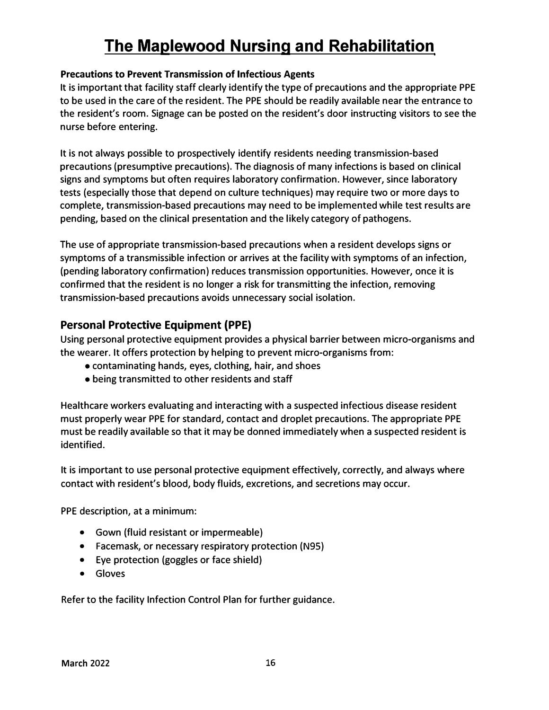#### **Precautions to Prevent Transmission of Infectious Agents**

It is important that facility staff clearly identify the type of precautions and the appropriate PPE to be used in the care of the resident. The PPE should be readily available near the entrance to the resident's room. Signage can be posted on the resident's door instructing visitors to see the nurse before entering.

It is not always possible to prospectively identify residents needing transmission-based precautions (presumptive precautions). The diagnosis of many infections is based on clinical signs and symptoms but often requires laboratory confirmation. However, since laboratory tests (especially those that depend on culture techniques) may require two or more days to complete, transmission-based precautions may need to be implemented while test results are pending, based on the clinical presentation and the likely category of pathogens.

The use of appropriate transmission-based precautions when a resident develops signs or symptoms of a transmissible infection or arrives at the facility with symptoms of an infection, (pending laboratory confirmation) reduces transmission opportunities. However, once it is confirmed that the resident is no longer a risk for transmitting the infection, removing transmission-based precautions avoids unnecessary social isolation.

### **Personal Protective Equipment {PPE)**

Using personal protective equipment provides a physical barrier between micro-organisms and the wearer. It offers protection by helping to prevent micro-organisms from:

- contaminating hands, eyes, clothing, hair, and shoes
- being transmitted to other residents and staff

Healthcare workers evaluating and interacting with a suspected infectious disease resident must properly wear PPE for standard, contact and droplet precautions. The appropriate PPE must be readily available so that it may be donned immediately when a suspected resident is identified.

It is important to use personal protective equipment effectively, correctly, and always where contact with resident's blood, body fluids, excretions, and secretions may occur.

PPE description, at a minimum:

- Gown (fluid resistant or impermeable)
- Facemask, or necessary respiratory protection (N95)
- Eye protection (goggles or face shield)
- Gloves

Refer to the facility Infection Control Plan for further guidance.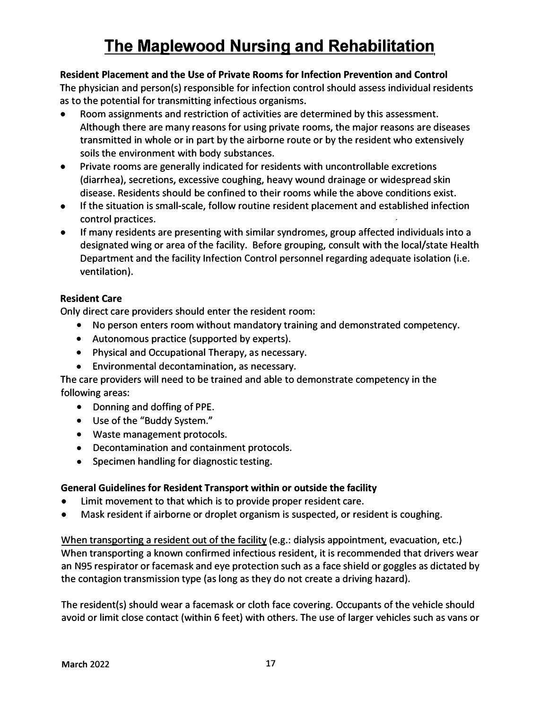### **Resident Placement and the Use of Private Rooms for Infection Prevention and Control**

The physician and person(s) responsible for infection control should assess individual residents as to the potential for transmitting infectious organisms.

- Room assignments and restriction of activities are determined by this assessment. Although there are many reasons for using private rooms, the major reasons are diseases transmitted in whole or in part by the airborne route or by the resident who extensively soils the environment with body substances.
- Private rooms are generally indicated for residents with uncontrollable excretions (diarrhea), secretions, excessive coughing, heavy wound drainage or widespread skin disease. Residents should be confined to their rooms while the above conditions exist.
- If the situation is small-scale, follow routine resident placement and established infection control practices.
- If many residents are presenting with similar syndromes, group affected individuals into a designated wing or area of the facility. Before grouping, consult with the local/state Health Department and the facility Infection Control personnel regarding adequate isolation (i.e. ventilation).

### **Resident Care**

Only direct care providers should enter the resident room:

- No person enters room without mandatory training and demonstrated competency.
- Autonomous practice (supported by experts).
- Physical and Occupational Therapy, as necessary.
- Environmental decontamination, as necessary.

The care providers will need to be trained and able to demonstrate competency in the following areas:

- Donning and doffing of PPE.
- Use of the "Buddy System."
- Waste management protocols.
- Decontamination and containment protocols.
- Specimen handling for diagnostic testing.

#### **General Guidelines for Resident Transport within or outside the facility**

- Limit movement to that which is to provide proper resident care.
- Mask resident if airborne or droplet organism is suspected, or resident is coughing.

When transporting a resident out of the facility (e.g.: dialysis appointment, evacuation, etc.) When transporting a known confirmed infectious resident, it is recommended that drivers wear an N95 respirator or facemask and eye protection such as a face shield or goggles as dictated by the contagion transmission type (as long as they do not create a driving hazard).

The resident(s) should wear a facemask or cloth face covering. Occupants of the vehicle should avoid or limit close contact (within 6 feet) with others. The use of larger vehicles such as vans or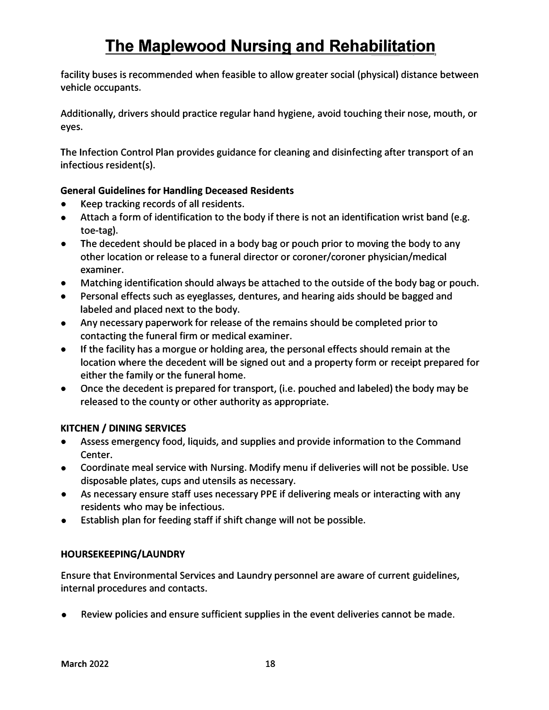facility buses is recommended when feasible to allow greater social (physical) distance between vehicle occupants.

Additionally, drivers should practice regular hand hygiene, avoid touching their nose, mouth, or eyes.

The Infection Control Plan provides guidance for cleaning and disinfecting after transport of an infectious resident(s).

#### **General Guidelines for Handling Deceased Residents**

- Keep tracking records of all residents.
- Attach a form of identification to the body if there is not an identification wrist band (e.g. toe-tag).
- The decedent should be placed in a body bag or pouch prior to moving the body to any other location or release to a funeral director or coroner/coroner physician/medical examiner.
- Matching identification should always be attached to the outside of the body bag or pouch.
- Personal effects such as eyeglasses, dentures, and hearing aids should be bagged and labeled and placed next to the body.
- Any necessary paperwork for release of the remains should be completed prior to contacting the funeral firm or medical examiner.
- If the facility has a morgue or holding area, the personal effects should remain at the location where the decedent will be signed out and a property form or receipt prepared for either the family or the funeral home.
- Once the decedent is prepared for transport, (i.e. pouched and labeled) the body may be released to the county or other authority as appropriate.

### **KITCHEN / DINING SERVICES**

- Assess emergency food, liquids, and supplies and provide information to the Command Center.
- Coordinate meal service with Nursing. Modify menu if deliveries will not be possible. Use disposable plates, cups and utensils as necessary.
- As necessary ensure staff uses necessary PPE if delivering meals or interacting with any residents who may be infectious.
- Establish plan for feeding staff if shift change will not be possible.

#### **HOURSEKEEPING/LAUNDRY**

Ensure that Environmental Services and Laundry personnel are aware of current guidelines, internal procedures and contacts.

• Review policies and ensure sufficient supplies in the event deliveries cannot be made.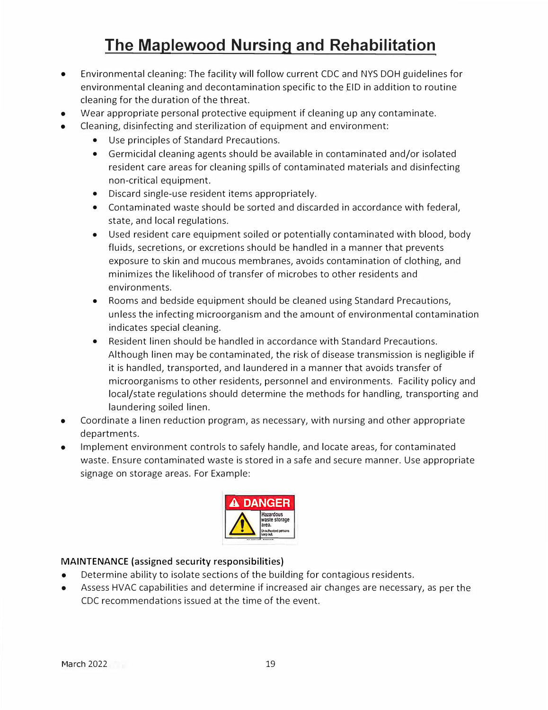- Environmental cleaning: The facility will follow current CDC and NYS DOH guidelines for environmental cleaning and decontamination specific to the EID in addition to routine cleaning for the duration of the threat.
- Wear appropriate personal protective equipment if cleaning up any contaminate.
- Cleaning, disinfecting and sterilization of equipment and environment:
	- Use principles of Standard Precautions.
	- Germicidal cleaning agents should be available in contaminated and/or isolated resident care areas for cleaning spills of contaminated materials and disinfecting non-critical equipment.
	- Discard single-use resident items appropriately.
	- Contaminated waste should be sorted and discarded in accordance with federal, state, and local regulations.
	- Used resident care equipment soiled or potentially contaminated with blood, body fluids, secretions, or excretions should be handled in a manner that prevents exposure to skin and mucous membranes, avoids contamination of clothing, and minimizes the likelihood of transfer of microbes to other residents and environments.
	- Rooms and bedside equipment should be cleaned using Standard Precautions, unless the infecting microorganism and the amount of environmental contamination indicates special cleaning.
	- Resident linen should be handled in accordance with Standard Precautions. Although linen may be contaminated, the risk of disease transmission is negligible if it is handled, transported, and laundered in a manner that avoids transfer of microorganisms to other residents, personnel and environments. Facility policy and local/state regulations should determine the methods for handling, transporting and laundering soiled linen.
- Coordinate a linen reduction program, as necessary, with nursing and other appropriate departments.
- Implement environment controls to safely handle, and locate areas, for contaminated waste. Ensure contaminated waste is stored in a safe and secure manner. Use appropriate signage on storage areas. For Example:



#### **MAINTENANCE (assigned security responsibilities)**

- Determine ability to isolate sections of the building for contagious residents.
- Assess HVAC capabilities and determine if increased air changes are necessary, as per the CDC recommendations issued at the time of the event.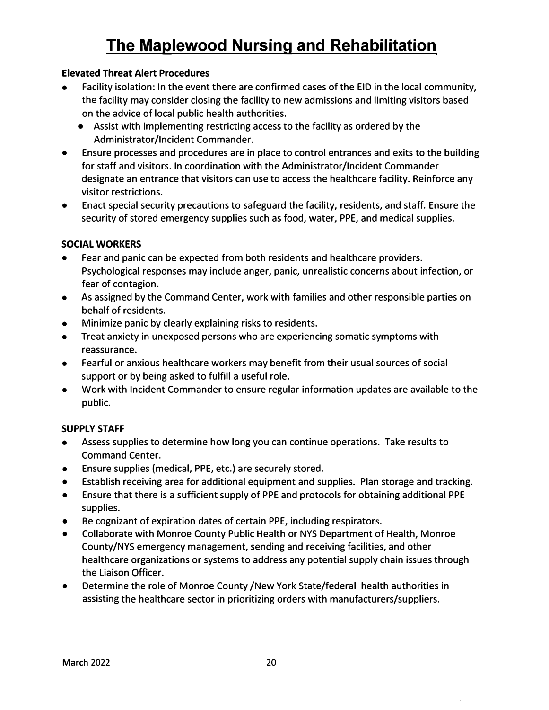#### **Elevated Threat Alert Procedures**

- Facility isolation: In the event there are confirmed cases of the EID in the local community, the facility may consider closing the facility to new admissions and limiting visitors based on the advice of local public health authorities.
	- Assist with implementing restricting access to the facility as ordered by the Administrator/Incident Commander.
- Ensure processes and procedures are in place to control entrances and exits to the building for staff and visitors. In coordination with the Administrator/Incident Commander designate an entrance that visitors can use to access the healthcare facility. Reinforce any visitor restrictions.
- Enact special security precautions to safeguard the facility, residents, and staff. Ensure the security of stored emergency supplies such as food, water, PPE, and medical supplies.

#### **SOCIAL WORKERS**

- Fear and panic can be expected from both residents and healthcare providers. Psychological responses may include anger, panic, unrealistic concerns about infection, or fear of contagion.
- As assigned by the Command Center, work with families and other responsible parties on behalf of residents.
- Minimize panic by clearly explaining risks to residents.
- Treat anxiety in unexposed persons who are experiencing somatic symptoms with reassurance.
- Fearful or anxious healthcare workers may benefit from their usual sources of social support or by being asked to fulfill a useful role.
- Work with Incident Commander to ensure regular information updates are available to the public.

#### **SUPPLY STAFF**

- Assess supplies to determine how long you can continue operations. Take results to Command Center.
- Ensure supplies (medical, PPE, etc.) are securely stored.
- Establish receiving area for additional equipment and supplies. Plan storage and tracking.
- Ensure that there is a sufficient supply of PPE and protocols for obtaining additional PPE supplies.
- Be cognizant of expiration dates of certain PPE, including respirators.
- Collaborate with Monroe County Public Health or NYS Department of Health, Monroe County/NYS emergency management, sending and receiving facilities, and other healthcare organizations or systems to address any potential supply chain issues through the Liaison Officer.
- Determine the role of Monroe County /New York State/federal health authorities in assisting the healthcare sector in prioritizing orders with manufacturers/suppliers.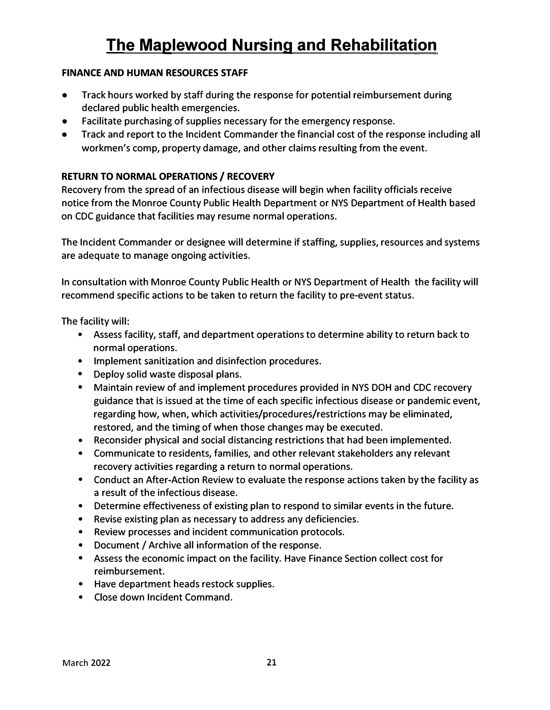#### **FINANCE AND HUMAN RESOURCES STAFF**

- Track hours worked by staff during the response for potential reimbursement during declared public health emergencies.
- Facilitate purchasing of supplies necessary for the emergency response.
- Track and report to the Incident Commander the financial cost of the response including all workmen's comp, property damage, and other claims resulting from the event.

#### **RETURN TO NORMAL OPERATIONS/ RECOVERY**

Recovery from the spread of an infectious disease will begin when facility officials receive notice from the Monroe County Public Health Department or NYS Department of Health based on CDC guidance that facilities may resume normal operations.

The Incident Commander or designee will determine if staffing, supplies, resources and systems are adequate to manage ongoing activities.

In consultation with Monroe County Public Health or NYS Department of Health the facility will recommend specific actions to be taken to return the facility to pre-event status.

The facility will:

- Assess facility, staff, and department operations to determine ability to return back to normal operations.
- Implement sanitization and disinfection procedures.
- Deploy solid waste disposal plans.
- Maintain review of and implement procedures provided in NYS DOH and CDC recovery guidance that is issued at the time of each specific infectious disease or pandemic event, regarding how, when, which activities/procedures/restrictions may be eliminated, restored, and the timing of when those changes may be executed.
- Reconsider physical and social distancing restrictions that had been implemented.
- Communicate to residents, families, and other relevant stakeholders any relevant recovery activities regarding a return to normal operations.
- Conduct an After-Action Review to evaluate the response actions taken by the facility as a result of the infectious disease.
- Determine effectiveness of existing plan to respond to similar events in the future.
- Revise existing plan as necessary to address any deficiencies.
- Review processes and incident communication protocols.
- Document/ Archive all information of the response.
- Assess the economic impact on the facility. Have Finance Section collect cost for reimbursement.
- Have department heads restock supplies.
- Close down Incident Command.